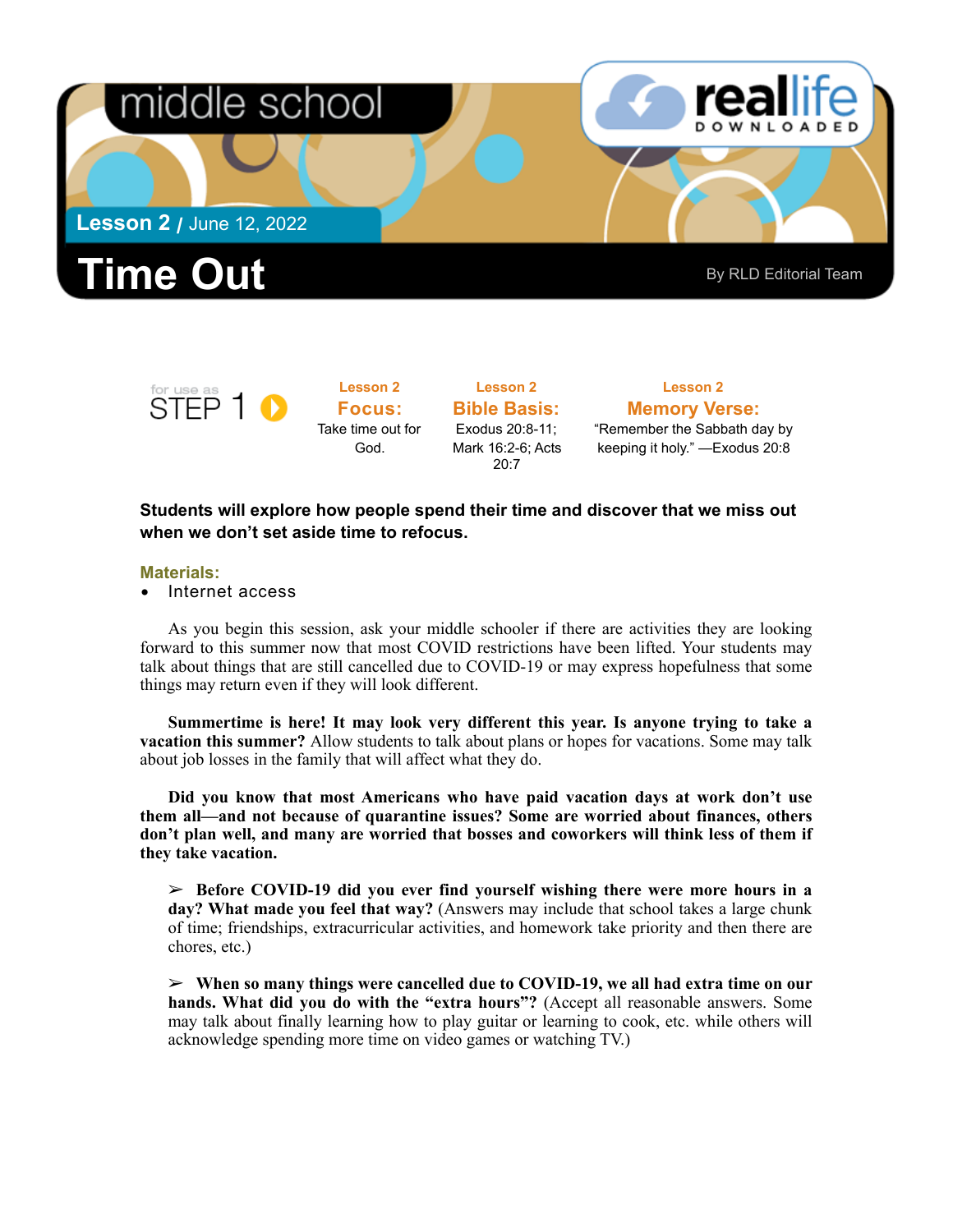



**Lesson 2 Focus:**  Take time out for God.

**Lesson 2 Bible Basis:** Exodus 20:8-11; Mark 16:2-6; Acts 20:7

## **Lesson 2 Memory Verse:** "Remember the Sabbath day by

keeping it holy." —Exodus 20:8

## **Students will explore how people spend their time and discover that we miss out when we don't set aside time to refocus.**

## **Materials:**

• Internet access

As you begin this session, ask your middle schooler if there are activities they are looking forward to this summer now that most COVID restrictions have been lifted. Your students may talk about things that are still cancelled due to COVID-19 or may express hopefulness that some things may return even if they will look different.

**Summertime is here! It may look very different this year. Is anyone trying to take a vacation this summer?** Allow students to talk about plans or hopes for vacations. Some may talk about job losses in the family that will affect what they do.

**Did you know that most Americans who have paid vacation days at work don't use them all—and not because of quarantine issues? Some are worried about finances, others don't plan well, and many are worried that bosses and coworkers will think less of them if they take vacation.** 

➢ **Before COVID-19 did you ever find yourself wishing there were more hours in a day? What made you feel that way?** (Answers may include that school takes a large chunk of time; friendships, extracurricular activities, and homework take priority and then there are chores, etc.)

➢ **When so many things were cancelled due to COVID-19, we all had extra time on our hands. What did you do with the "extra hours"?** (Accept all reasonable answers. Some may talk about finally learning how to play guitar or learning to cook, etc. while others will acknowledge spending more time on video games or watching TV.)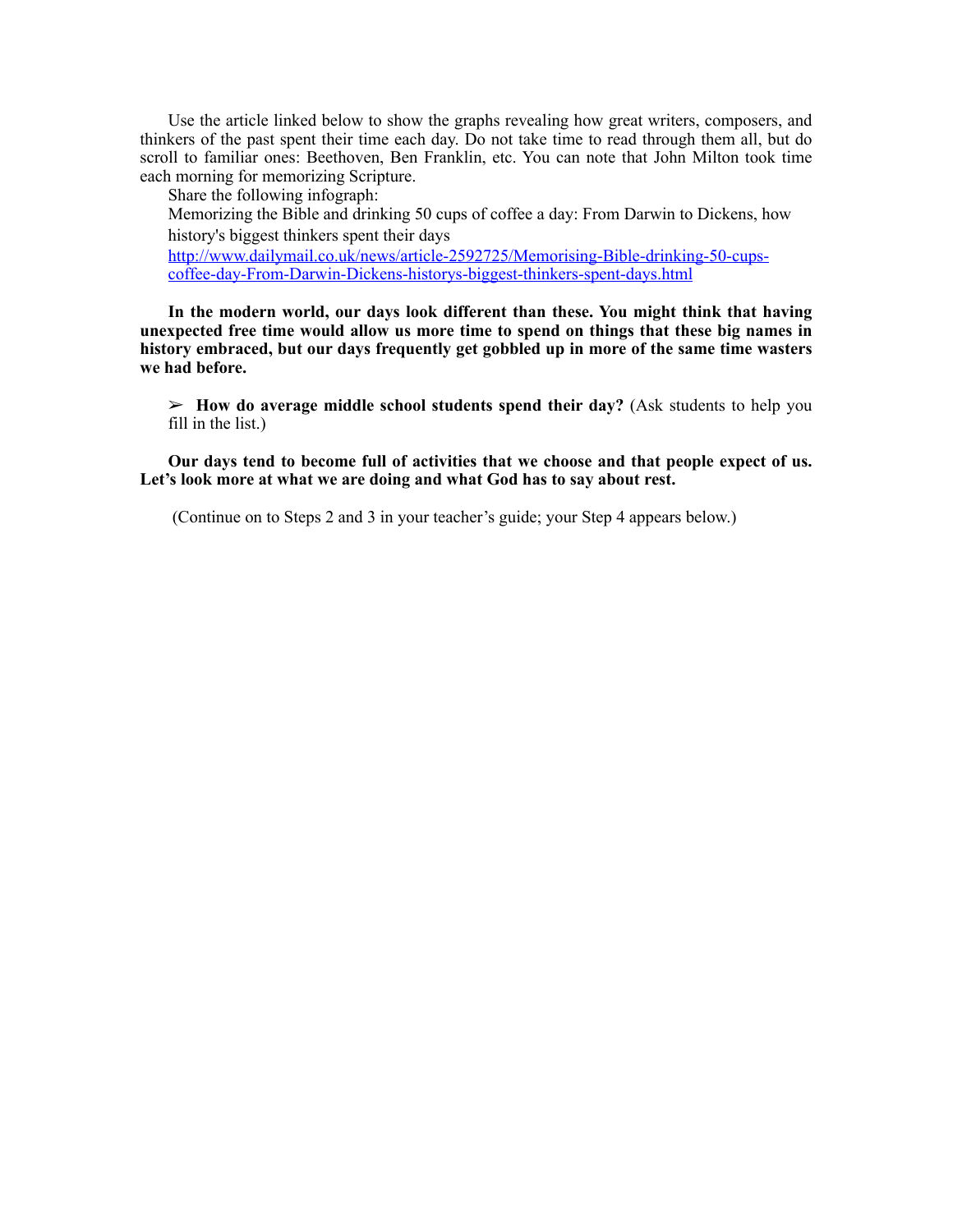Use the article linked below to show the graphs revealing how great writers, composers, and thinkers of the past spent their time each day. Do not take time to read through them all, but do scroll to familiar ones: Beethoven, Ben Franklin, etc. You can note that John Milton took time each morning for memorizing Scripture.

Share the following infograph:

Memorizing the Bible and drinking 50 cups of coffee a day: From Darwin to Dickens, how history's biggest thinkers spent their days [http://www.dailymail.co.uk/news/article-2592725/Memorising-Bible-drinking-50-cups](http://www.dailymail.co.uk/news/article-2592725/Memorising-Bible-drinking-50-cups-coffee-day-From-Darwin-Dickens-historys-biggest-thinkers-spent-days.html)[coffee-day-From-Darwin-Dickens-historys-biggest-thinkers-spent-days.html](http://www.dailymail.co.uk/news/article-2592725/Memorising-Bible-drinking-50-cups-coffee-day-From-Darwin-Dickens-historys-biggest-thinkers-spent-days.html)

**In the modern world, our days look different than these. You might think that having unexpected free time would allow us more time to spend on things that these big names in history embraced, but our days frequently get gobbled up in more of the same time wasters we had before.** 

➢ **How do average middle school students spend their day?** (Ask students to help you fill in the list.)

**Our days tend to become full of activities that we choose and that people expect of us. Let's look more at what we are doing and what God has to say about rest.** 

(Continue on to Steps 2 and 3 in your teacher's guide; your Step 4 appears below.)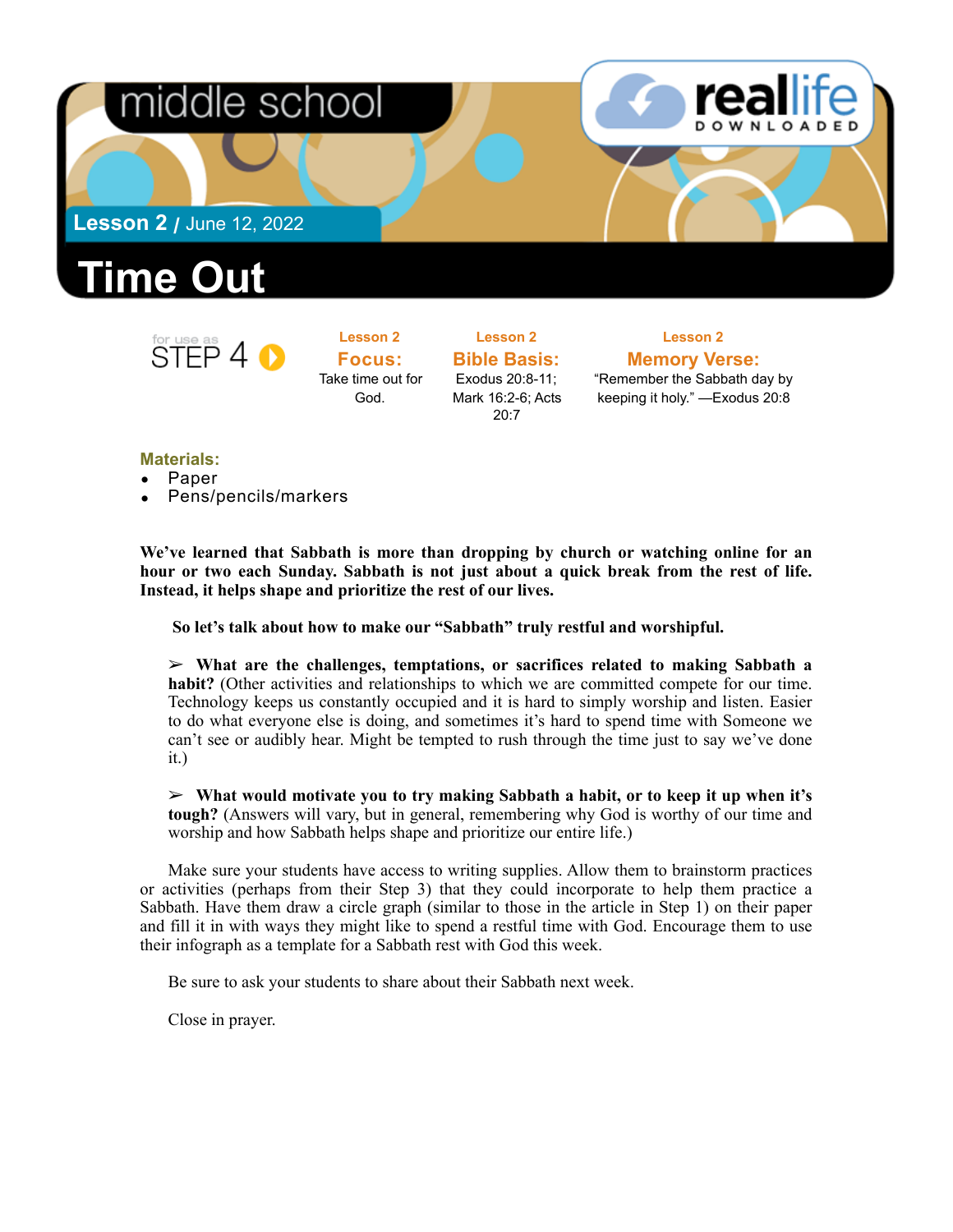



**Lesson 2 Focus:**  Take time out for God.

**Lesson 2 Bible Basis:** Exodus 20:8-11; Mark 16:2-6; Acts 20:7

**Lesson 2 Memory Verse:** "Remember the Sabbath day by keeping it holy." —Exodus 20:8

## **Materials:**

- Paper
- Pens/pencils/markers

**We've learned that Sabbath is more than dropping by church or watching online for an hour or two each Sunday. Sabbath is not just about a quick break from the rest of life. Instead, it helps shape and prioritize the rest of our lives.** 

 **So let's talk about how to make our "Sabbath" truly restful and worshipful.** 

➢ **What are the challenges, temptations, or sacrifices related to making Sabbath a habit?** (Other activities and relationships to which we are committed compete for our time. Technology keeps us constantly occupied and it is hard to simply worship and listen. Easier to do what everyone else is doing, and sometimes it's hard to spend time with Someone we can't see or audibly hear. Might be tempted to rush through the time just to say we've done it.)

➢ **What would motivate you to try making Sabbath a habit, or to keep it up when it's tough?** (Answers will vary, but in general, remembering why God is worthy of our time and worship and how Sabbath helps shape and prioritize our entire life.)

Make sure your students have access to writing supplies. Allow them to brainstorm practices or activities (perhaps from their Step 3) that they could incorporate to help them practice a Sabbath. Have them draw a circle graph (similar to those in the article in Step 1) on their paper and fill it in with ways they might like to spend a restful time with God. Encourage them to use their infograph as a template for a Sabbath rest with God this week.

Be sure to ask your students to share about their Sabbath next week.

Close in prayer.